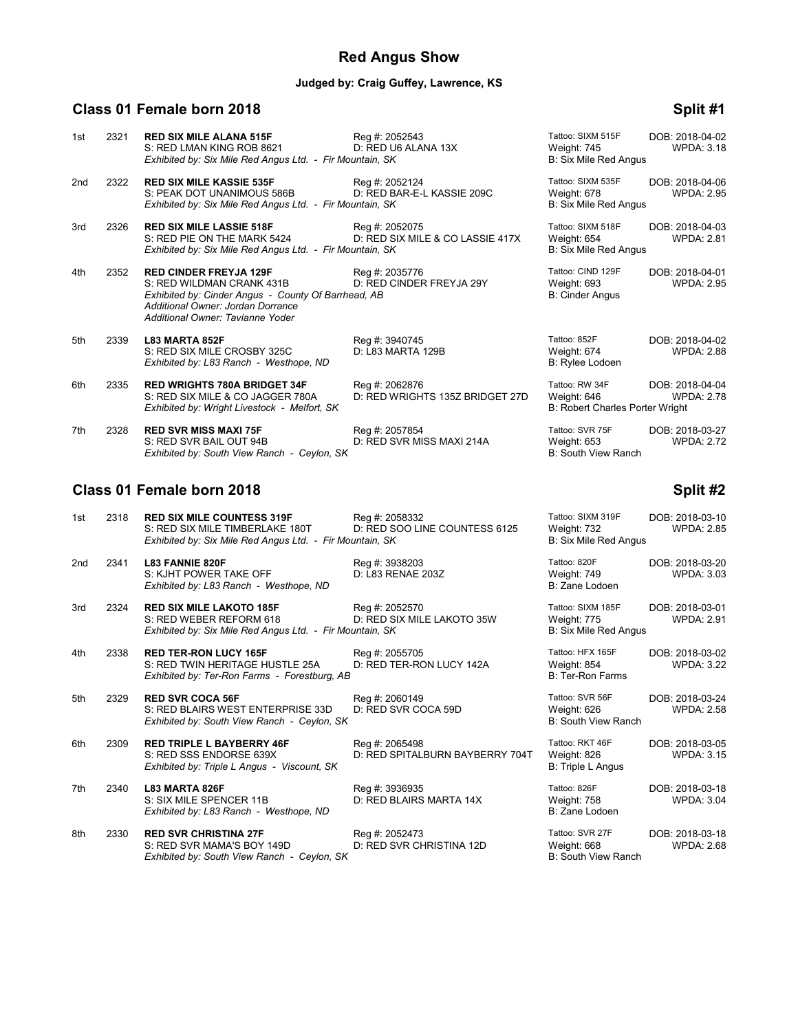## **Red Angus Show**

# **Judged by: Craig Guffey, Lawrence, KS**

## **Class 01 Female born 2018 Split #1**

|     |      | Class 01 Female born 2018                                                                                                                                                                  |                                                    |                                                                         | Split #2                             |
|-----|------|--------------------------------------------------------------------------------------------------------------------------------------------------------------------------------------------|----------------------------------------------------|-------------------------------------------------------------------------|--------------------------------------|
| 7th | 2328 | <b>RED SVR MISS MAXI 75F</b><br>S: RED SVR BAIL OUT 94B<br>Exhibited by: South View Ranch - Ceylon, SK                                                                                     | Reg #: 2057854<br>D: RED SVR MISS MAXI 214A        | Tattoo: SVR 75F<br>Weight: 653<br><b>B: South View Ranch</b>            | DOB: 2018-03-27<br><b>WPDA: 2.72</b> |
| 6th | 2335 | <b>RED WRIGHTS 780A BRIDGET 34F</b><br>S: RED SIX MILE & CO JAGGER 780A<br>Exhibited by: Wright Livestock - Melfort, SK                                                                    | Reg #: 2062876<br>D: RED WRIGHTS 135Z BRIDGET 27D  | Tattoo: RW 34F<br>Weight: 646<br><b>B: Robert Charles Porter Wright</b> | DOB: 2018-04-04<br><b>WPDA: 2.78</b> |
| 5th | 2339 | L83 MARTA 852F<br>S: RED SIX MILE CROSBY 325C<br>Exhibited by: L83 Ranch - Westhope, ND                                                                                                    | Reg #: 3940745<br>D: L83 MARTA 129B                | Tattoo: 852F<br>Weight: 674<br>B: Rylee Lodoen                          | DOB: 2018-04-02<br><b>WPDA: 2.88</b> |
| 4th | 2352 | <b>RED CINDER FREYJA 129F</b><br>S: RED WILDMAN CRANK 431B<br>Exhibited by: Cinder Angus - County Of Barrhead, AB<br>Additional Owner: Jordan Dorrance<br>Additional Owner: Tavianne Yoder | Reg #: 2035776<br>D: RED CINDER FREYJA 29Y         | Tattoo: CIND 129F<br>Weight: 693<br><b>B: Cinder Angus</b>              | DOB: 2018-04-01<br><b>WPDA: 2.95</b> |
| 3rd | 2326 | <b>RED SIX MILE LASSIE 518F</b><br>S: RED PIE ON THE MARK 5424<br>Exhibited by: Six Mile Red Angus Ltd. - Fir Mountain, SK                                                                 | Reg #: 2052075<br>D: RED SIX MILE & CO LASSIE 417X | Tattoo: SIXM 518F<br>Weight: 654<br>B: Six Mile Red Angus               | DOB: 2018-04-03<br>WPDA: 2.81        |
| 2nd | 2322 | <b>RED SIX MILE KASSIE 535F</b><br>S: PEAK DOT UNANIMOUS 586B<br>Exhibited by: Six Mile Red Angus Ltd. - Fir Mountain, SK                                                                  | Reg #: 2052124<br>D: RED BAR-E-L KASSIE 209C       | Tattoo: SIXM 535F<br>Weight: 678<br><b>B: Six Mile Red Angus</b>        | DOB: 2018-04-06<br><b>WPDA: 2.95</b> |
| 1st | 2321 | <b>RED SIX MILE ALANA 515F</b><br>S: RED LMAN KING ROB 8621<br>Exhibited by: Six Mile Red Angus Ltd. - Fir Mountain, SK                                                                    | Reg #: 2052543<br>D: RED U6 ALANA 13X              | Tattoo: SIXM 515F<br>Weight: 745<br><b>B: Six Mile Red Angus</b>        | DOB: 2018-04-02<br><b>WPDA: 3.18</b> |

| 2318<br>1st             | <b>RED SIX MILE COUNTESS 319F</b><br>S: RED SIX MILE TIMBERLAKE 180T<br>Exhibited by: Six Mile Red Angus Ltd. - Fir Mountain, SK | Reg #: 2058332<br>D: RED SOO LINE COUNTESS 6125   | Tattoo: SIXM 319F<br><b>Weight: 732</b><br><b>B: Six Mile Red Angus</b> | DOB: 2018-03-10<br><b>WPDA: 2.85</b> |
|-------------------------|----------------------------------------------------------------------------------------------------------------------------------|---------------------------------------------------|-------------------------------------------------------------------------|--------------------------------------|
| 2341<br>2 <sub>nd</sub> | <b>L83 FANNIE 820F</b><br>S: KJHT POWER TAKE OFF<br>Exhibited by: L83 Ranch - Westhope, ND                                       | Reg #: 3938203<br>D: L83 RENAE 203Z               | Tattoo: 820F<br>Weight: 749<br>B: Zane Lodoen                           | DOB: 2018-03-20<br><b>WPDA: 3.03</b> |
| 2324<br>3rd             | <b>RED SIX MILE LAKOTO 185F</b><br>S: RED WEBER REFORM 618<br>Exhibited by: Six Mile Red Angus Ltd. - Fir Mountain, SK           | Reg #: 2052570<br>D: RED SIX MILE LAKOTO 35W      | Tattoo: SIXM 185F<br>Weight: 775<br><b>B: Six Mile Red Angus</b>        | DOB: 2018-03-01<br><b>WPDA: 2.91</b> |
| 2338<br>4th             | <b>RED TER-RON LUCY 165F</b><br>S: RED TWIN HERITAGE HUSTLE 25A<br>Exhibited by: Ter-Ron Farms - Forestburg, AB                  | Reg #: 2055705<br>D: RED TER-RON LUCY 142A        | Tattoo: HFX 165F<br>Weight: 854<br>B: Ter-Ron Farms                     | DOB: 2018-03-02<br><b>WPDA: 3.22</b> |
| 5th<br>2329             | <b>RED SVR COCA 56F</b><br>S: RED BLAIRS WEST ENTERPRISE 33D<br>Exhibited by: South View Ranch - Ceylon, SK                      | Reg #: 2060149<br>D: RED SVR COCA 59D             | Tattoo: SVR 56F<br>Weight: 626<br>B: South View Ranch                   | DOB: 2018-03-24<br><b>WPDA: 2.58</b> |
| 6th<br>2309             | <b>RED TRIPLE L BAYBERRY 46F</b><br>S: RED SSS ENDORSE 639X<br>Exhibited by: Triple L Angus - Viscount, SK                       | Reg #: 2065498<br>D: RED SPITALBURN BAYBERRY 704T | Tattoo: RKT 46F<br>Weight: 826<br>B: Triple L Angus                     | DOB: 2018-03-05<br><b>WPDA: 3.15</b> |
| 2340<br>7th             | L83 MARTA 826F<br>S: SIX MILE SPENCER 11B<br>Exhibited by: L83 Ranch - Westhope, ND                                              | Reg #: 3936935<br>D: RED BLAIRS MARTA 14X         | Tattoo: 826F<br>Weight: 758<br>B: Zane Lodoen                           | DOB: 2018-03-18<br><b>WPDA: 3.04</b> |
| 2330<br>8th             | <b>RED SVR CHRISTINA 27F</b><br>S: RED SVR MAMA'S BOY 149D<br>Exhibited by: South View Ranch - Ceylon, SK                        | Reg #: 2052473<br>D: RED SVR CHRISTINA 12D        | Tattoo: SVR 27F<br>Weight: 668<br>B: South View Ranch                   | DOB: 2018-03-18<br><b>WPDA: 2.68</b> |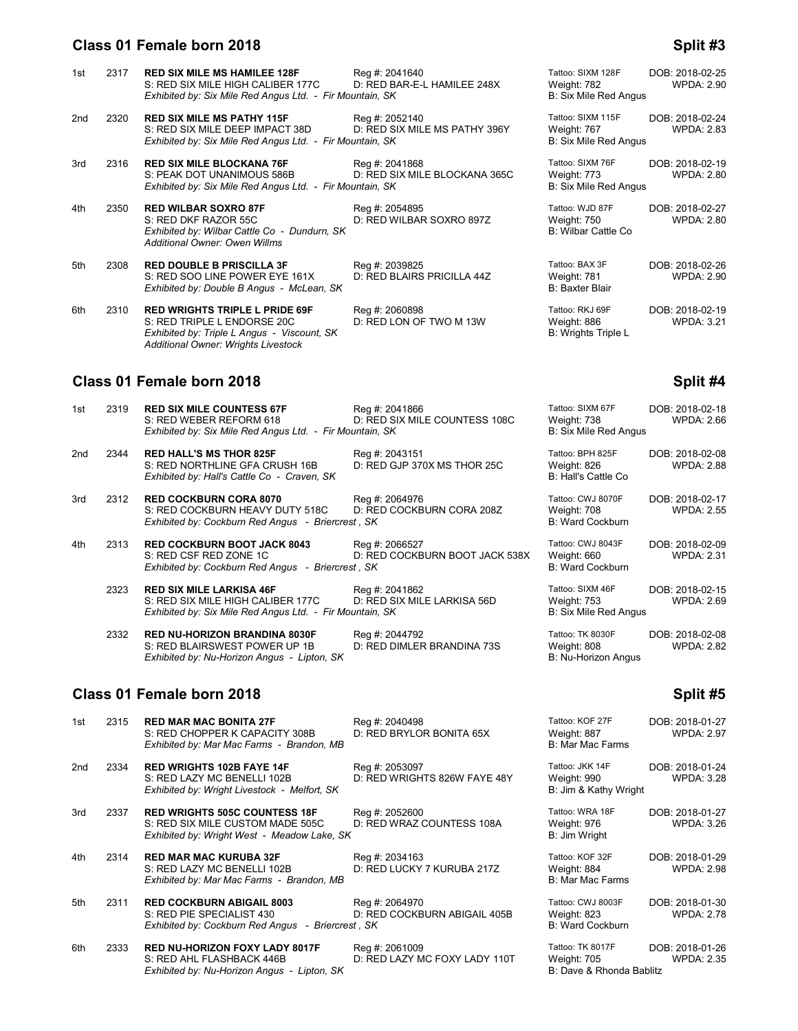#### **Class 01 Female born 2018 Split #3**

| 1st             | 2317 | <b>RED SIX MILE MS HAMILEE 128F</b><br>S: RED SIX MILE HIGH CALIBER 177C<br>Exhibited by: Six Mile Red Angus Ltd. - Fir Mountain, SK                       | Reg #: 2041640<br>D: RED BAR-E-L HAMILEE 248X   | Tattoo: SIXM 128F<br>Weight: 782<br>B: Six Mile Red Angus        | DOB: 2018-02-25<br><b>WPDA: 2.90</b> |
|-----------------|------|------------------------------------------------------------------------------------------------------------------------------------------------------------|-------------------------------------------------|------------------------------------------------------------------|--------------------------------------|
| 2 <sub>nd</sub> | 2320 | <b>RED SIX MILE MS PATHY 115F</b><br>S: RED SIX MILE DEEP IMPACT 38D<br>Exhibited by: Six Mile Red Angus Ltd. - Fir Mountain, SK                           | Reg #: 2052140<br>D: RED SIX MILE MS PATHY 396Y | Tattoo: SIXM 115F<br>Weight: 767<br><b>B: Six Mile Red Angus</b> | DOB: 2018-02-24<br><b>WPDA: 2.83</b> |
| 3rd             | 2316 | <b>RED SIX MILE BLOCKANA 76F</b><br>S: PEAK DOT UNANIMOUS 586B<br>Exhibited by: Six Mile Red Angus Ltd. - Fir Mountain, SK                                 | Reg #: 2041868<br>D: RED SIX MILE BLOCKANA 365C | Tattoo: SIXM 76F<br>Weight: 773<br><b>B: Six Mile Red Angus</b>  | DOB: 2018-02-19<br><b>WPDA: 2.80</b> |
| 4th             | 2350 | <b>RED WILBAR SOXRO 87F</b><br>S: RED DKF RAZOR 55C<br>Exhibited by: Wilbar Cattle Co - Dundurn, SK<br>Additional Owner: Owen Willms                       | Reg #: 2054895<br>D: RED WILBAR SOXRO 897Z      | Tattoo: WJD 87F<br>Weight: 750<br><b>B: Wilbar Cattle Co</b>     | DOB: 2018-02-27<br><b>WPDA: 2.80</b> |
| 5th             | 2308 | <b>RED DOUBLE B PRISCILLA 3F</b><br>S: RED SOO LINE POWER EYE 161X<br>Exhibited by: Double B Angus - McLean, SK                                            | Reg #: 2039825<br>D: RED BLAIRS PRICILLA 44Z    | Tattoo: BAX 3F<br>Weight: 781<br><b>B: Baxter Blair</b>          | DOB: 2018-02-26<br><b>WPDA: 2.90</b> |
| 6th             | 2310 | <b>RED WRIGHTS TRIPLE L PRIDE 69F</b><br>S: RED TRIPLE L ENDORSE 20C<br>Exhibited by: Triple L Angus - Viscount, SK<br>Additional Owner: Wrights Livestock | Reg #: 2060898<br>D: RED LON OF TWO M 13W       | Tattoo: RKJ 69F<br>Weight: 886<br><b>B: Wrights Triple L</b>     | DOB: 2018-02-19<br><b>WPDA: 3.21</b> |
|                 |      | Class 01 Female born 2018                                                                                                                                  |                                                 |                                                                  | Split #4                             |
|                 |      |                                                                                                                                                            |                                                 |                                                                  |                                      |

1st 2319 **RED SIX MILE COUNTESS 67F** Reg #: 2041866 Reg and the Tattoo: SIXM 67F DOB: 2018-02-18<br>S: RED WEBER REFORM 618 D: RED SIX MILE COUNTESS 108C Weight: 738 WPDA: 2.66 D: RED SIX MILE COUNTESS 108C *Exhibited by: Six Mile Red Angus Ltd. - Fir Mountain, SK* B: Six Mile Red Angus 2nd 2344 **RED HALL'S MS THOR 825F** Reg #: 2043151 Tattoo: BPH 825F DOB: 2018-02-08 S: RED NORTHLINE GFA CRUSH 16B D: RED GJP 370X MS THOR 25C Weight: 826<br>Exhibited by: Hall's Cattle Co - Craven, SK B: 2.888 B: Hall's Cattle Co *Exhibited by: Hall's Cattle Co - Craven, SK* 

3rd 2312 **RED COCKBURN CORA 8070** Reg #: 2064976 Tattoo: CWJ 8070F DOB: 2018-02-17<br>S: RED COCKBURN HEAVY DUTY 518C D: RED COCKBURN CORA 208Z Weight: 708 WPDA: 2.55 S: RED COCKBURN HEAVY DUTY 518C D: RED COCKBURN CORA 208Z Weight: 708<br>
Exhibited by: Cockburn Red Angus - Briercrest, SK **Exhibited by: Cockburn Red Angus - Briercrest, SK** 

- 4th 2313 **RED COCKBURN BOOT JACK 8043** Reg #: 2066527 Tattoo: CWJ 8043F DOB: 2018-02-09<br>S: RED CSF RED ZONE 1C D: RED COCKBURN BOOT JACK 538X Weight: 660 WPDA: 2.31 D: RED COCKBURN BOOT JACK 538X Weight: 660<br>It, SK B: Ward Cockburn *Exhibited by: Cockburn Red Angus - Briercrest, SK* 
	- 2323 **RED SIX MILE LARKISA 46F** Reg #: 2041862 Tattoo: SIXM 46F DOB: 2018-02-15<br>S: RED SIX MILE HIGH CALIBER 177C D: RED SIX MILE LARKISA 56D Weight: 753 WPDA: 2.69 S: RED SIX MILE HIGH CALIBER 177C D: RED SIX MILE LARKISA 56D Weight: 753 Weight: 753 Exhibited by: Six Mile Red Angus Ltd. - Fir Mountain, SK *Exhibited by: Six Mile Red Angus Ltd. - Fir Mountain, SK*
	- 2332 **RED NU-HORIZON BRANDINA 8030F** Reg #: 2044792 Tattoo: TK 8030F DOB: 2018-02-08<br>S: RED BLAIRSWEST POWER UP 1B D: RED DIMLER BRANDINA 73S Weight: 808 WPDA: 2.82 S: RED BLAIRSWEST POWER UP 1B D: RED DIMLER BRANDINA 73S Weight: 808<br>
	Exhibited by: Nu-Horizon Angus - Lipton, SK **Exhibited by: Nu-Horizon Angus - Lipton, SK**

### **Class 01 Female born 2018 Split #5** Split #5

| 1st             | 2315 | <b>RED MAR MAC BONITA 27F</b><br>S: RED CHOPPER K CAPACITY 308B<br>Exhibited by: Mar Mac Farms - Brandon, MB            | Reg #: 2040498<br>D: RED BRYLOR BONITA 65X      | Tattoo: KOF 27F<br>Weight: 887<br>B: Mar Mac Farms          | DOB: 2018-01-27<br><b>WPDA: 2.97</b> |
|-----------------|------|-------------------------------------------------------------------------------------------------------------------------|-------------------------------------------------|-------------------------------------------------------------|--------------------------------------|
| 2 <sub>nd</sub> | 2334 | <b>RED WRIGHTS 102B FAYE 14F</b><br>S: RED LAZY MC BENELLI 102B<br>Exhibited by: Wright Livestock - Melfort, SK         | Reg #: 2053097<br>D: RED WRIGHTS 826W FAYE 48Y  | Tattoo: JKK 14F<br>Weight: 990<br>B: Jim & Kathy Wright     | DOB: 2018-01-24<br><b>WPDA: 3.28</b> |
| 3rd             | 2337 | <b>RED WRIGHTS 505C COUNTESS 18F</b><br>S: RED SIX MILE CUSTOM MADE 505C<br>Exhibited by: Wright West - Meadow Lake, SK | Reg #: 2052600<br>D: RED WRAZ COUNTESS 108A     | Tattoo: WRA 18F<br>Weight: 976<br>B: Jim Wright             | DOB: 2018-01-27<br><b>WPDA: 3.26</b> |
| 4th             | 2314 | <b>RED MAR MAC KURUBA 32F</b><br>S: RED LAZY MC BENELLI 102B<br>Exhibited by: Mar Mac Farms - Brandon, MB               | Reg #: 2034163<br>D: RED LUCKY 7 KURUBA 217Z    | Tattoo: KOF 32F<br>Weight: 884<br><b>B: Mar Mac Farms</b>   | DOB: 2018-01-29<br><b>WPDA: 2.98</b> |
| 5th             | 2311 | <b>RED COCKBURN ABIGAIL 8003</b><br>S: RED PIE SPECIALIST 430<br>Exhibited by: Cockburn Red Angus - Briercrest, SK      | Reg #: 2064970<br>D: RED COCKBURN ABIGAIL 405B  | Tattoo: CWJ 8003F<br>Weight: 823<br><b>B: Ward Cockburn</b> | DOB: 2018-01-30<br><b>WPDA: 2.78</b> |
| 6th             | 2333 | <b>RED NU-HORIZON FOXY LADY 8017F</b><br>S: RED AHL FLASHBACK 446B<br>Exhibited by: Nu-Horizon Angus - Lipton, SK       | Reg #: 2061009<br>D: RED LAZY MC FOXY LADY 110T | Tattoo: TK 8017F<br>Weight: 705<br>B: Dave & Rhonda Bablitz | DOB: 2018-01-26<br><b>WPDA: 2.35</b> |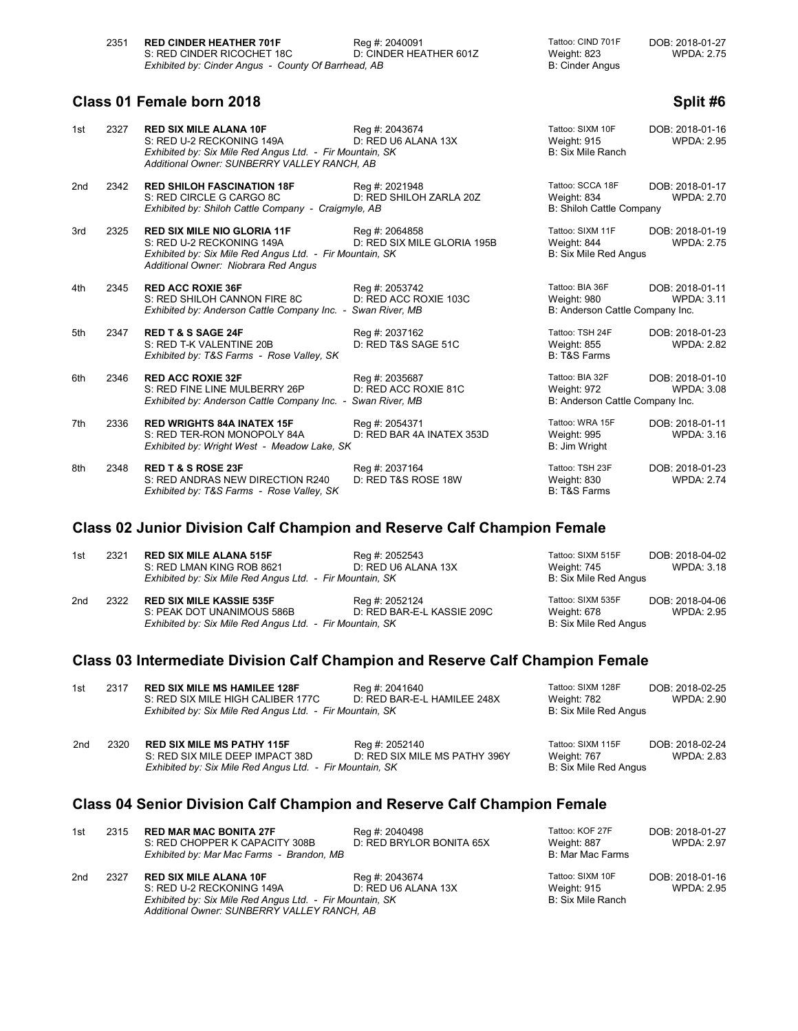| 2351 | <b>RED CINDER HEATHER 701F</b>                      | Reg #: 2040091         | Tattoo: CIND 701F | DOB: 2018-01-27   |
|------|-----------------------------------------------------|------------------------|-------------------|-------------------|
|      | S: RED CINDER RICOCHET 18C                          | D: CINDER HEATHER 601Z | Weight: 823       | <b>WPDA: 2.75</b> |
|      | Exhibited by: Cinder Angus - County Of Barrhead, AB |                        | B: Cinder Angus   |                   |

## **Class 01 Female born 2018 Split #6 Split #6 Split #6**

| 1st | 2327 | <b>RED SIX MILE ALANA 10F</b><br>S: RED U-2 RECKONING 149A<br>Exhibited by: Six Mile Red Angus Ltd. - Fir Mountain, SK<br>Additional Owner: SUNBERRY VALLEY RANCH, AB | Reg #: 2043674<br>D: RED U6 ALANA 13X         | Tattoo: SIXM 10F<br>Weight: 915<br>B: Six Mile Ranch              | DOB: 2018-01-16<br><b>WPDA: 2.95</b> |
|-----|------|-----------------------------------------------------------------------------------------------------------------------------------------------------------------------|-----------------------------------------------|-------------------------------------------------------------------|--------------------------------------|
| 2nd | 2342 | <b>RED SHILOH FASCINATION 18F</b><br>S: RED CIRCLE G CARGO 8C<br>Exhibited by: Shiloh Cattle Company - Craigmyle, AB                                                  | Reg #: 2021948<br>D: RED SHILOH ZARLA 20Z     | Tattoo: SCCA 18F<br>Weight: 834<br>B: Shiloh Cattle Company       | DOB: 2018-01-17<br><b>WPDA: 2.70</b> |
| 3rd | 2325 | <b>RED SIX MILE NIO GLORIA 11F</b><br>S: RED U-2 RECKONING 149A<br>Exhibited by: Six Mile Red Angus Ltd. - Fir Mountain, SK<br>Additional Owner: Niobrara Red Angus   | Reg #: 2064858<br>D: RED SIX MILE GLORIA 195B | Tattoo: SIXM 11F<br>Weight: 844<br>B: Six Mile Red Angus          | DOB: 2018-01-19<br><b>WPDA: 2.75</b> |
| 4th | 2345 | <b>RED ACC ROXIE 36F</b><br>S: RED SHILOH CANNON FIRE 8C<br>Exhibited by: Anderson Cattle Company Inc. - Swan River, MB                                               | Reg #: 2053742<br>D: RED ACC ROXIE 103C       | Tattoo: BIA 36F<br>Weight: 980<br>B: Anderson Cattle Company Inc. | DOB: 2018-01-11<br><b>WPDA: 3.11</b> |
| 5th | 2347 | <b>RED T &amp; S SAGE 24F</b><br>S: RED T-K VALENTINE 20B<br>Exhibited by: T&S Farms - Rose Valley, SK                                                                | Reg #: 2037162<br>D: RED T&S SAGE 51C         | Tattoo: TSH 24F<br><b>Weight: 855</b><br><b>B: T&amp;S Farms</b>  | DOB: 2018-01-23<br><b>WPDA: 2.82</b> |
| 6th | 2346 | <b>RED ACC ROXIE 32F</b><br>S: RED FINE LINE MULBERRY 26P<br>Exhibited by: Anderson Cattle Company Inc. - Swan River, MB                                              | Reg #: 2035687<br>D: RED ACC ROXIE 81C        | Tattoo: BIA 32F<br>Weight: 972<br>B: Anderson Cattle Company Inc. | DOB: 2018-01-10<br><b>WPDA: 3.08</b> |
| 7th | 2336 | <b>RED WRIGHTS 84A INATEX 15F</b><br>S: RED TER-RON MONOPOLY 84A<br>Exhibited by: Wright West - Meadow Lake, SK                                                       | Reg #: 2054371<br>D: RED BAR 4A INATEX 353D   | Tattoo: WRA 15F<br><b>Weight: 995</b><br>B: Jim Wright            | DOB: 2018-01-11<br><b>WPDA: 3.16</b> |
| 8th | 2348 | <b>RED T &amp; S ROSE 23F</b><br>S: RED ANDRAS NEW DIRECTION R240<br>Exhibited by: T&S Farms - Rose Valley, SK                                                        | Reg #: 2037164<br>D: RED T&S ROSE 18W         | Tattoo: TSH 23F<br>Weight: 830<br><b>B: T&amp;S Farms</b>         | DOB: 2018-01-23<br><b>WPDA: 2.74</b> |

## **Class 02 Junior Division Calf Champion and Reserve Calf Champion Female**

| 1st             | 2321 | <b>RED SIX MILE ALANA 515F</b><br>S: RED LMAN KING ROB 8621<br>Exhibited by: Six Mile Red Angus Ltd. - Fir Mountain, SK   | Reg #: 2052543<br>D: RED U6 ALANA 13X        | Tattoo: SIXM 515F<br>Weight: 745<br>B: Six Mile Red Angus | DOB: 2018-04-02<br>WPDA: 3.18 |
|-----------------|------|---------------------------------------------------------------------------------------------------------------------------|----------------------------------------------|-----------------------------------------------------------|-------------------------------|
| 2 <sub>nd</sub> | 2322 | <b>RED SIX MILE KASSIE 535F</b><br>S: PEAK DOT UNANIMOUS 586B<br>Exhibited by: Six Mile Red Angus Ltd. - Fir Mountain, SK | Reg #: 2052124<br>D: RED BAR-E-L KASSIE 209C | Tattoo: SIXM 535F<br>Weight: 678<br>B: Six Mile Red Angus | DOB: 2018-04-06<br>WPDA: 2.95 |

# **Class 03 Intermediate Division Calf Champion and Reserve Calf Champion Female**

| 1st | 2317 | <b>RED SIX MILE MS HAMILEE 128F</b>                      | Reg #: 2041640                | Tattoo: SIXM 128F     | DOB: 2018-02-25 |
|-----|------|----------------------------------------------------------|-------------------------------|-----------------------|-----------------|
|     |      | S: RED SIX MILE HIGH CALIBER 177C                        | D: RED BAR-E-L HAMILEE 248X   | Weight: 782           | WPDA: 2.90      |
|     |      | Exhibited by: Six Mile Red Angus Ltd. - Fir Mountain, SK |                               | B: Six Mile Red Angus |                 |
|     |      |                                                          |                               |                       |                 |
| 2nd | 2320 | <b>RED SIX MILE MS PATHY 115F</b>                        | Reg #: 2052140                | Tattoo: SIXM 115F     | DOB: 2018-02-24 |
|     |      | S: RED SIX MILE DEEP IMPACT 38D                          | D: RED SIX MILE MS PATHY 396Y | Weight: 767           | WPDA: 2.83      |
|     |      | Exhibited by: Six Mile Red Angus Ltd. - Fir Mountain, SK |                               | B: Six Mile Red Angus |                 |

# **Class 04 Senior Division Calf Champion and Reserve Calf Champion Female**

| 1st | 2315 | <b>RED MAR MAC BONITA 27F</b><br>S: RED CHOPPER K CAPACITY 308B<br>Exhibited by: Mar Mac Farms - Brandon, MB | Reg #: 2040498<br>D: RED BRYLOR BONITA 65X | Tattoo: KOF 27F<br>Weight: 887<br>B: Mar Mac Farms | DOB: 2018-01-27<br><b>WPDA: 2.97</b> |
|-----|------|--------------------------------------------------------------------------------------------------------------|--------------------------------------------|----------------------------------------------------|--------------------------------------|
| 2nd | 2327 | <b>RED SIX MILE ALANA 10F</b>                                                                                | Reg #: 2043674                             | Tattoo: SIXM 10F                                   | DOB: 2018-01-16                      |
|     |      | S: RED U-2 RECKONING 149A                                                                                    | D: RED U6 ALANA 13X                        | Weight: 915                                        | <b>WPDA: 2.95</b>                    |
|     |      | Exhibited by: Six Mile Red Angus Ltd. - Fir Mountain, SK                                                     |                                            | B: Six Mile Ranch                                  |                                      |
|     |      | Additional Owner: SUNBERRY VALLEY RANCH, AB                                                                  |                                            |                                                    |                                      |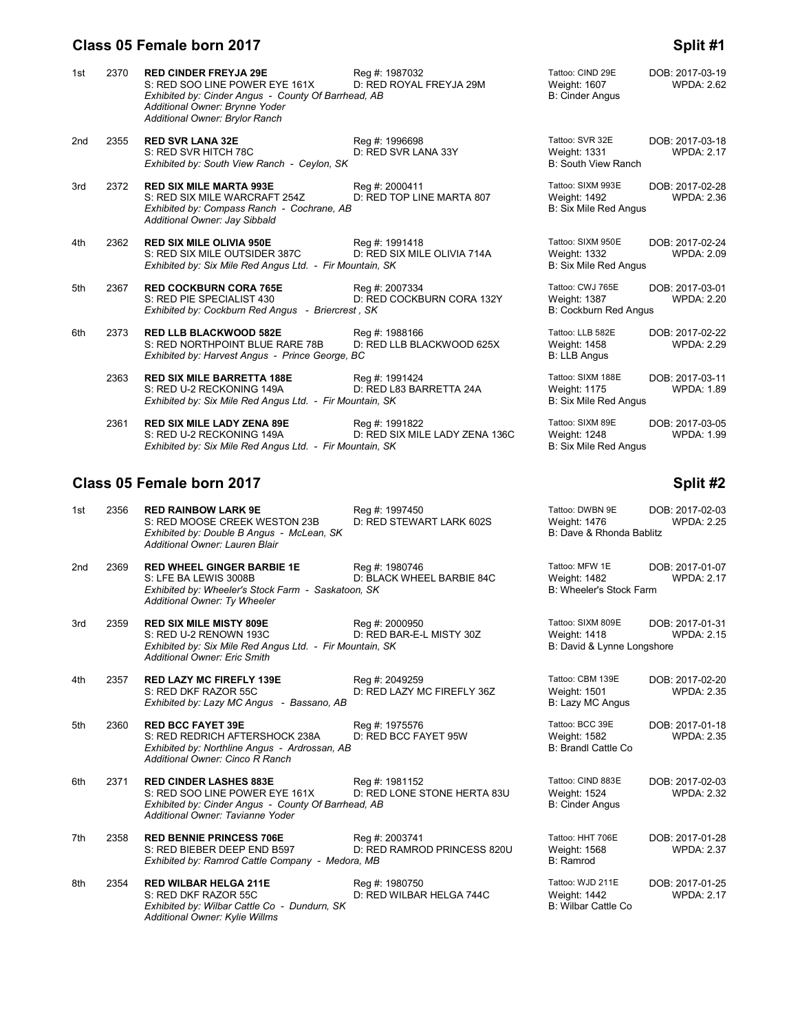# **Class 05 Female born 2017 Split #1 Split #1 Split #1**

| 1st | 2370 | <b>RED CINDER FREYJA 29E</b><br>S: RED SOO LINE POWER EYE 161X<br>Exhibited by: Cinder Angus - County Of Barrhead, AB<br>Additional Owner: Brynne Yoder<br>Additional Owner: Brylor Ranch | Reg #: 1987032<br>D: RED ROYAL FREYJA 29M        | Tattoo: CIND 29E<br>Weight: 1607<br><b>B: Cinder Angus</b>              | DOB: 2017-03-19<br><b>WPDA: 2.62</b> |
|-----|------|-------------------------------------------------------------------------------------------------------------------------------------------------------------------------------------------|--------------------------------------------------|-------------------------------------------------------------------------|--------------------------------------|
| 2nd | 2355 | <b>RED SVR LANA 32E</b><br>S: RED SVR HITCH 78C<br>Exhibited by: South View Ranch - Ceylon, SK                                                                                            | Reg #: 1996698<br>D: RED SVR LANA 33Y            | Tattoo: SVR 32E<br>Weight: 1331<br><b>B: South View Ranch</b>           | DOB: 2017-03-18<br><b>WPDA: 2.17</b> |
| 3rd | 2372 | <b>RED SIX MILE MARTA 993E</b><br>S: RED SIX MILE WARCRAFT 254Z<br>Exhibited by: Compass Ranch - Cochrane, AB<br>Additional Owner: Jay Sibbald                                            | Reg #: 2000411<br>D: RED TOP LINE MARTA 807      | Tattoo: SIXM 993E<br>Weight: 1492<br>B: Six Mile Red Angus              | DOB: 2017-02-28<br><b>WPDA: 2.36</b> |
| 4th | 2362 | <b>RED SIX MILE OLIVIA 950E</b><br>S: RED SIX MILE OUTSIDER 387C<br>Exhibited by: Six Mile Red Angus Ltd. - Fir Mountain, SK                                                              | Reg #: 1991418<br>D: RED SIX MILE OLIVIA 714A    | Tattoo: SIXM 950E<br>Weight: 1332<br>B: Six Mile Red Angus              | DOB: 2017-02-24<br><b>WPDA: 2.09</b> |
| 5th | 2367 | <b>RED COCKBURN CORA 765E</b><br>S: RED PIE SPECIALIST 430<br>Exhibited by: Cockburn Red Angus - Briercrest, SK                                                                           | Reg #: 2007334<br>D: RED COCKBURN CORA 132Y      | Tattoo: CWJ 765E<br><b>Weight: 1387</b><br><b>B: Cockburn Red Angus</b> | DOB: 2017-03-01<br><b>WPDA: 2.20</b> |
| 6th | 2373 | <b>RED LLB BLACKWOOD 582E</b><br>S: RED NORTHPOINT BLUE RARE 78B<br>Exhibited by: Harvest Angus - Prince George, BC                                                                       | Reg #: 1988166<br>D: RED LLB BLACKWOOD 625X      | Tattoo: LLB 582E<br>Weight: 1458<br><b>B: LLB Angus</b>                 | DOB: 2017-02-22<br><b>WPDA: 2.29</b> |
|     | 2363 | <b>RED SIX MILE BARRETTA 188E</b><br>S: RED U-2 RECKONING 149A<br>Exhibited by: Six Mile Red Angus Ltd. - Fir Mountain, SK                                                                | Reg #: 1991424<br>D: RED L83 BARRETTA 24A        | Tattoo: SIXM 188E<br>Weight: 1175<br>B: Six Mile Red Angus              | DOB: 2017-03-11<br><b>WPDA: 1.89</b> |
|     | 2361 | <b>RED SIX MILE LADY ZENA 89E</b><br>S: RED U-2 RECKONING 149A<br>Exhibited by: Six Mile Red Angus Ltd. - Fir Mountain, SK                                                                | Reg #: 1991822<br>D: RED SIX MILE LADY ZENA 136C | Tattoo: SIXM 89E<br>Weight: 1248<br>B: Six Mile Red Angus               | DOB: 2017-03-05<br><b>WPDA: 1.99</b> |
|     |      |                                                                                                                                                                                           |                                                  |                                                                         |                                      |

#### **Class 05 Female born 2017 Split #2**

| 1st             | 2356 | <b>RED RAINBOW LARK 9E</b><br>S: RED MOOSE CREEK WESTON 23B<br>Exhibited by: Double B Angus - McLean, SK<br>Additional Owner: Lauren Blair                  | Reg #: 1997450<br>D: RED STEWART LARK 602S    | Tattoo: DWBN 9E<br>Weight: 1476<br>B: Dave & Rhonda Bablitz     | DOB: 2017-02-03<br><b>WPDA: 2.25</b> |
|-----------------|------|-------------------------------------------------------------------------------------------------------------------------------------------------------------|-----------------------------------------------|-----------------------------------------------------------------|--------------------------------------|
| 2 <sub>nd</sub> | 2369 | <b>RED WHEEL GINGER BARBIE 1E</b><br>S: LFE BA LEWIS 3008B<br>Exhibited by: Wheeler's Stock Farm - Saskatoon, SK<br>Additional Owner: Ty Wheeler            | Reg #: 1980746<br>D: BLACK WHEEL BARBIE 84C   | Tattoo: MFW 1E<br>Weight: 1482<br>B: Wheeler's Stock Farm       | DOB: 2017-01-07<br><b>WPDA: 2.17</b> |
| 3rd             | 2359 | <b>RED SIX MILE MISTY 809E</b><br>S: RED U-2 RENOWN 193C<br>Exhibited by: Six Mile Red Angus Ltd. - Fir Mountain, SK<br><b>Additional Owner: Eric Smith</b> | Reg #: 2000950<br>D: RED BAR-E-L MISTY 30Z    | Tattoo: SIXM 809E<br>Weight: 1418<br>B: David & Lynne Longshore | DOB: 2017-01-31<br><b>WPDA: 2.15</b> |
| 4th             | 2357 | <b>RED LAZY MC FIREFLY 139E</b><br>S: RED DKF RAZOR 55C<br>Exhibited by: Lazy MC Angus - Bassano, AB                                                        | Reg #: 2049259<br>D: RED LAZY MC FIREFLY 36Z  | Tattoo: CBM 139E<br>Weight: 1501<br>B: Lazy MC Angus            | DOB: 2017-02-20<br><b>WPDA: 2.35</b> |
| 5th             | 2360 | <b>RED BCC FAYET 39E</b><br>S: RED REDRICH AFTERSHOCK 238A<br>Exhibited by: Northline Angus - Ardrossan, AB<br>Additional Owner: Cinco R Ranch              | Reg #: 1975576<br>D: RED BCC FAYET 95W        | Tattoo: BCC 39E<br>Weight: 1582<br><b>B: Brandl Cattle Co</b>   | DOB: 2017-01-18<br><b>WPDA: 2.35</b> |
| 6th             | 2371 | <b>RED CINDER LASHES 883E</b><br>S: RED SOO LINE POWER EYE 161X<br>Exhibited by: Cinder Angus - County Of Barrhead, AB<br>Additional Owner: Tavianne Yoder  | Reg #: 1981152<br>D: RED LONE STONE HERTA 83U | Tattoo: CIND 883E<br>Weight: 1524<br><b>B: Cinder Angus</b>     | DOB: 2017-02-03<br><b>WPDA: 2.32</b> |
| 7th             | 2358 | <b>RED BENNIE PRINCESS 706E</b><br>S: RED BIEBER DEEP END B597<br>Exhibited by: Ramrod Cattle Company - Medora, MB                                          | Reg #: 2003741<br>D: RED RAMROD PRINCESS 820U | Tattoo: HHT 706E<br>Weight: 1568<br>B: Ramrod                   | DOB: 2017-01-28<br><b>WPDA: 2.37</b> |
| 8th             | 2354 | <b>RED WILBAR HELGA 211E</b><br>S: RED DKF RAZOR 55C<br>Exhibited by: Wilbar Cattle Co - Dundurn, SK<br><b>Additional Owner: Kylie Willms</b>               | Reg #: 1980750<br>D: RED WILBAR HELGA 744C    | Tattoo: WJD 211E<br>Weight: 1442<br>B: Wilbar Cattle Co.        | DOB: 2017-01-25<br><b>WPDA: 2.17</b> |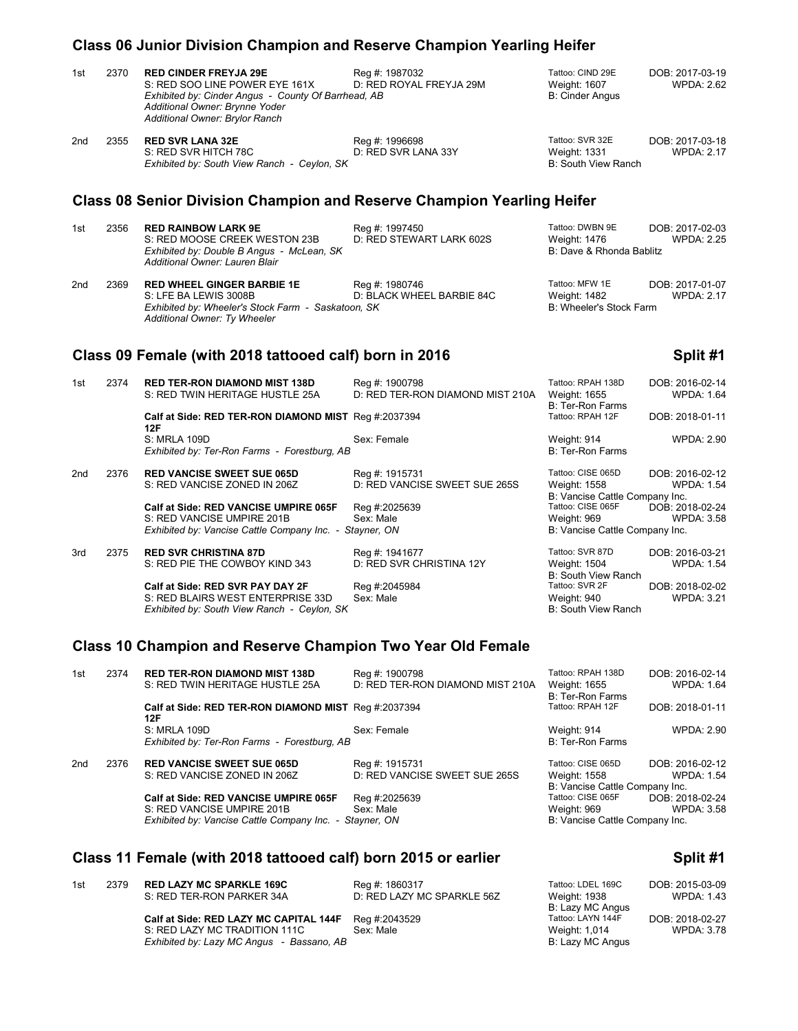# **Class 06 Junior Division Champion and Reserve Champion Yearling Heifer**

| 1st             | 2370 | <b>RED CINDER FREYJA 29E</b><br>S: RED SOO LINE POWER EYE 161X<br>Exhibited by: Cinder Angus - County Of Barrhead, AB<br>Additional Owner: Brynne Yoder<br>Additional Owner: Brylor Ranch | Reg #: 1987032<br>D: RED ROYAL FREYJA 29M          | Tattoo: CIND 29E<br>Weight: 1607<br><b>B: Cinder Angus</b>                                           | DOB: 2017-03-19<br><b>WPDA: 2.62</b> |
|-----------------|------|-------------------------------------------------------------------------------------------------------------------------------------------------------------------------------------------|----------------------------------------------------|------------------------------------------------------------------------------------------------------|--------------------------------------|
| 2 <sub>nd</sub> | 2355 | <b>RED SVR LANA 32E</b><br>S: RED SVR HITCH 78C<br>Exhibited by: South View Ranch - Ceylon, SK                                                                                            | Reg #: 1996698<br>D: RED SVR LANA 33Y              | Tattoo: SVR 32E<br>Weight: 1331<br>B: South View Ranch                                               | DOB: 2017-03-18<br><b>WPDA: 2.17</b> |
|                 |      | <b>Class 08 Senior Division Champion and Reserve Champion Yearling Heifer</b>                                                                                                             |                                                    |                                                                                                      |                                      |
| 1st             | 2356 | <b>RED RAINBOW LARK 9E</b><br>S: RED MOOSE CREEK WESTON 23B<br>Exhibited by: Double B Angus - McLean, SK<br>Additional Owner: Lauren Blair                                                | Reg #: 1997450<br>D: RED STEWART LARK 602S         | Tattoo: DWBN 9E<br><b>Weight: 1476</b><br>B: Dave & Rhonda Bablitz                                   | DOB: 2017-02-03<br><b>WPDA: 2.25</b> |
| 2nd             | 2369 | <b>RED WHEEL GINGER BARBIE 1E</b><br>S: LFE BA LEWIS 3008B<br>Exhibited by: Wheeler's Stock Farm - Saskatoon, SK<br>Additional Owner: Ty Wheeler                                          | Reg #: 1980746<br>D: BLACK WHEEL BARBIE 84C        | Tattoo: MFW 1E<br>Weight: 1482<br>B: Wheeler's Stock Farm                                            | DOB: 2017-01-07<br><b>WPDA: 2.17</b> |
|                 |      |                                                                                                                                                                                           |                                                    |                                                                                                      |                                      |
|                 |      | Class 09 Female (with 2018 tattooed calf) born in 2016                                                                                                                                    |                                                    |                                                                                                      | Split #1                             |
| 1st             | 2374 | <b>RED TER-RON DIAMOND MIST 138D</b><br>S: RED TWIN HERITAGE HUSTLE 25A                                                                                                                   | Reg #: 1900798<br>D: RED TER-RON DIAMOND MIST 210A | Tattoo: RPAH 138D<br>Weight: 1655<br><b>B: Ter-Ron Farms</b>                                         | DOB: 2016-02-14<br><b>WPDA: 1.64</b> |
|                 |      | Calf at Side: RED TER-RON DIAMOND MIST Reg #:2037394                                                                                                                                      |                                                    | Tattoo: RPAH 12F                                                                                     | DOB: 2018-01-11                      |
|                 |      | 12F<br><b>S: MRLA 109D</b><br>Exhibited by: Ter-Ron Farms - Forestburg, AB                                                                                                                | Sex: Female                                        | Weight: 914<br>B: Ter-Ron Farms                                                                      | <b>WPDA: 2.90</b>                    |
| 2nd             | 2376 | <b>RED VANCISE SWEET SUE 065D</b><br>S: RED VANCISE ZONED IN 206Z                                                                                                                         | Reg #: 1915731<br>D: RED VANCISE SWEET SUE 265S    | Tattoo: CISE 065D<br>Weight: 1558                                                                    | DOB: 2016-02-12<br><b>WPDA: 1.54</b> |
|                 |      | <b>Calf at Side: RED VANCISE UMPIRE 065F</b><br>S: RED VANCISE UMPIRE 201B<br>Exhibited by: Vancise Cattle Company Inc. - Stayner, ON                                                     | Reg #:2025639<br>Sex: Male                         | B: Vancise Cattle Company Inc.<br>Tattoo: CISE 065F<br>Weight: 969<br>B: Vancise Cattle Company Inc. | DOB: 2018-02-24<br><b>WPDA: 3.58</b> |
| 3rd             | 2375 | <b>RED SVR CHRISTINA 87D</b><br>S: RED PIE THE COWBOY KIND 343                                                                                                                            | Reg #: 1941677<br>D: RED SVR CHRISTINA 12Y         | Tattoo: SVR 87D<br>Weight: 1504<br><b>B: South View Ranch</b>                                        | DOB: 2016-03-21<br><b>WPDA: 1.54</b> |

## **Class 10 Champion and Reserve Champion Two Year Old Female**

| 1st             | 2374 | <b>RED TER-RON DIAMOND MIST 138D</b><br>S: RED TWIN HERITAGE HUSTLE 25A                                                        | Reg #: 1900798<br>D: RED TER-RON DIAMOND MIST 210A | Tattoo: RPAH 138D<br>Weight: 1655<br>B: Ter-Ron Farms                                                | DOB: 2016-02-14<br><b>WPDA: 1.64</b> |
|-----------------|------|--------------------------------------------------------------------------------------------------------------------------------|----------------------------------------------------|------------------------------------------------------------------------------------------------------|--------------------------------------|
|                 |      | Calf at Side: RED TER-RON DIAMOND MIST Req #:2037394<br>12F                                                                    |                                                    | Tattoo: RPAH 12F                                                                                     | DOB: 2018-01-11                      |
|                 |      | S: MRLA 109D<br>Exhibited by: Ter-Ron Farms - Forestburg, AB                                                                   | Sex: Female                                        | Weight: 914<br>B: Ter-Ron Farms                                                                      | <b>WPDA: 2.90</b>                    |
| 2 <sub>nd</sub> | 2376 | <b>RED VANCISE SWEET SUE 065D</b><br>S: RED VANCISE ZONED IN 206Z                                                              | Reg #: 1915731<br>D: RED VANCISE SWEET SUE 265S    | Tattoo: CISE 065D<br>Weight: 1558                                                                    | DOB: 2016-02-12<br><b>WPDA: 1.54</b> |
|                 |      | Calf at Side: RED VANCISE UMPIRE 065F<br>S: RED VANCISE UMPIRE 201B<br>Exhibited by: Vancise Cattle Company Inc. - Stayner, ON | Reg #:2025639<br>Sex: Male                         | B: Vancise Cattle Company Inc.<br>Tattoo: CISE 065F<br>Weight: 969<br>B: Vancise Cattle Company Inc. | DOB: 2018-02-24<br><b>WPDA: 3.58</b> |

## Class 11 Female (with 2018 tattooed calf) born 2015 or earlier **Split #1** Split #1

| 1st | 2379 | <b>RED LAZY MC SPARKLE 169C</b>           | Reg #: 1860317             | Tattoo: LDEL 169C | DOB: 2015-03-09   |
|-----|------|-------------------------------------------|----------------------------|-------------------|-------------------|
|     |      | S: RED TER-RON PARKER 34A                 | D: RED LAZY MC SPARKLE 56Z | Weight: 1938      | <b>WPDA: 1.43</b> |
|     |      |                                           |                            | B: Lazy MC Angus  |                   |
|     |      | Calf at Side: RED LAZY MC CAPITAL 144F    | Reg #:2043529              | Tattoo: LAYN 144F | DOB: 2018-02-27   |
|     |      | S: RED LAZY MC TRADITION 111C             | Sex: Male                  | Weight: 1,014     | WPDA: 3.78        |
|     |      | Exhibited by: Lazy MC Angus - Bassano, AB |                            | B: Lazy MC Angus  |                   |
|     |      |                                           |                            |                   |                   |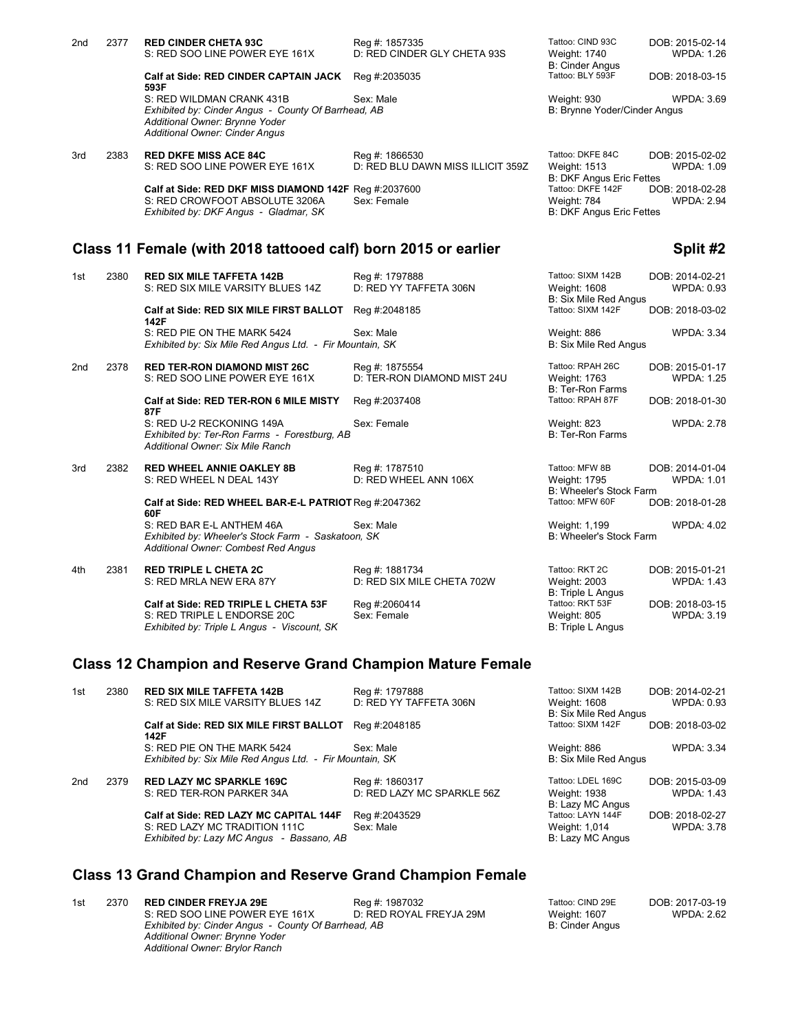| 2nd | 2377 | <b>RED CINDER CHETA 93C</b>                                                                                                    | Reg #: 1857335                    | Tattoo: CIND 93C                | DOB: 2015-02-14   |
|-----|------|--------------------------------------------------------------------------------------------------------------------------------|-----------------------------------|---------------------------------|-------------------|
|     |      | S: RED SOO LINE POWER EYE 161X                                                                                                 | D: RED CINDER GLY CHETA 93S       | Weight: 1740                    | <b>WPDA: 1.26</b> |
|     |      |                                                                                                                                |                                   | <b>B: Cinder Angus</b>          |                   |
|     |      | <b>Calf at Side: RED CINDER CAPTAIN JACK</b><br>593F                                                                           | Reg #:2035035                     | Tattoo: BLY 593F                | DOB: 2018-03-15   |
|     |      | S: RED WILDMAN CRANK 431B                                                                                                      | Sex: Male                         | Weight: 930                     | <b>WPDA: 3.69</b> |
|     |      | Exhibited by: Cinder Angus - County Of Barrhead, AB<br>Additional Owner: Brynne Yoder<br><b>Additional Owner: Cinder Angus</b> |                                   | B: Brynne Yoder/Cinder Angus    |                   |
| 3rd | 2383 | <b>RED DKFE MISS ACE 84C</b>                                                                                                   | Reg #: 1866530                    | Tattoo: DKFE 84C                | DOB: 2015-02-02   |
|     |      | S: RED SOO LINE POWER EYE 161X                                                                                                 | D: RED BLU DAWN MISS ILLICIT 359Z | <b>Weight: 1513</b>             | <b>WPDA: 1.09</b> |
|     |      |                                                                                                                                |                                   | <b>B: DKF Angus Eric Fettes</b> |                   |
|     |      | Calf at Side: RED DKF MISS DIAMOND 142F Req #:2037600                                                                          |                                   | Tattoo: DKFE 142F               | DOB: 2018-02-28   |
|     |      | S: RED CROWFOOT ABSOLUTE 3206A                                                                                                 | Sex: Female                       | Weight: 784                     | <b>WPDA: 2.94</b> |
|     |      | Exhibited by: DKF Angus - Gladmar, SK                                                                                          |                                   | <b>B: DKF Angus Eric Fettes</b> |                   |
|     |      |                                                                                                                                |                                   |                                 |                   |

### **Class 11 Female (with 2018 tattooed calf) born 2015 or earlier <b>Subseter Sellet 42** Split #2

| 1st             | 2380 | <b>RED SIX MILE TAFFETA 142B</b><br>S: RED SIX MILE VARSITY BLUES 14Z                                                  | Reg #: 1797888<br>D: RED YY TAFFETA 306N      | Tattoo: SIXM 142B<br>Weight: 1608<br><b>B: Six Mile Red Angus</b> | DOB: 2014-02-21<br>WPDA: 0.93        |
|-----------------|------|------------------------------------------------------------------------------------------------------------------------|-----------------------------------------------|-------------------------------------------------------------------|--------------------------------------|
|                 |      | Calf at Side: RED SIX MILE FIRST BALLOT<br>142F                                                                        | Reg #:2048185                                 | Tattoo: SIXM 142F                                                 | DOB: 2018-03-02                      |
|                 |      | S: RED PIE ON THE MARK 5424<br>Exhibited by: Six Mile Red Angus Ltd. - Fir Mountain, SK                                | Sex: Male                                     | Weight: 886<br>B: Six Mile Red Angus                              | <b>WPDA: 3.34</b>                    |
| 2 <sub>nd</sub> | 2378 | <b>RED TER-RON DIAMOND MIST 26C</b><br>S: RED SOO LINE POWER EYE 161X                                                  | Reg #: 1875554<br>D: TER-RON DIAMOND MIST 24U | Tattoo: RPAH 26C<br>Weight: 1763<br><b>B: Ter-Ron Farms</b>       | DOB: 2015-01-17<br><b>WPDA: 1.25</b> |
|                 |      | Calf at Side: RED TER-RON 6 MILE MISTY<br>87F                                                                          | Reg #:2037408                                 | Tattoo: RPAH 87F                                                  | DOB: 2018-01-30                      |
|                 |      | S: RED U-2 RECKONING 149A<br>Exhibited by: Ter-Ron Farms - Forestburg, AB<br>Additional Owner: Six Mile Ranch          | Sex: Female                                   | Weight: 823<br><b>B: Ter-Ron Farms</b>                            | <b>WPDA: 2.78</b>                    |
| 3rd             | 2382 | <b>RED WHEEL ANNIE OAKLEY 8B</b><br>S: RED WHEEL N DEAL 143Y                                                           | Reg #: 1787510<br>D: RED WHEEL ANN 106X       | Tattoo: MFW 8B<br>Weight: 1795<br>B: Wheeler's Stock Farm         | DOB: 2014-01-04<br><b>WPDA: 1.01</b> |
|                 |      | Calf at Side: RED WHEEL BAR-E-L PATRIOT Reg #:2047362<br>60F                                                           |                                               | Tattoo: MFW 60F                                                   | DOB: 2018-01-28                      |
|                 |      | S: RED BAR E-L ANTHEM 46A<br>Exhibited by: Wheeler's Stock Farm - Saskatoon, SK<br>Additional Owner: Combest Red Angus | Sex: Male                                     | Weight: 1,199<br>B: Wheeler's Stock Farm                          | <b>WPDA: 4.02</b>                    |
| 4th             | 2381 | <b>RED TRIPLE L CHETA 2C</b><br>S: RED MRLA NEW ERA 87Y                                                                | Reg #: 1881734<br>D: RED SIX MILE CHETA 702W  | Tattoo: RKT 2C<br>Weight: 2003<br>$D \cdot$ Triple   Apque        | DOB: 2015-01-21<br><b>WPDA: 1.43</b> |

**Calf at Side: RED TRIPLE L CHETA 53F** Reg #:2060414 Tattoo: RKT 53F DOB: 2018-03-15<br>S: RED TRIPLE L ENDORSE 20C Sex: Female **Simple Access Mercial Access Sex: Female** Weight: 805 WPDA: 3.19 S: RED TRIPLE L ENDORSE 20C Sex: Female Sex: Female Weight: 805 Weight: 805 Weight: 805 Exhibited by: Triple L Angus - Viscount, SK *Exhibited by: Triple L Angus - Viscount, SK* 

## **Class 12 Champion and Reserve Grand Champion Mature Female**

| 1st             | 2380 | <b>RED SIX MILE TAFFETA 142B</b><br>S: RED SIX MILE VARSITY BLUES 14Z      | Reg #: 1797888<br>D: RED YY TAFFETA 306N | Tattoo: SIXM 142B<br>Weight: 1608<br><b>B: Six Mile Red Angus</b> | DOB: 2014-02-21<br>WPDA: 0.93 |  |
|-----------------|------|----------------------------------------------------------------------------|------------------------------------------|-------------------------------------------------------------------|-------------------------------|--|
|                 |      | Calf at Side: RED SIX MILE FIRST BALLOT<br>142F                            | Reg #:2048185                            | Tattoo: SIXM 142F                                                 | DOB: 2018-03-02               |  |
|                 |      | S: RED PIE ON THE MARK 5424                                                | Sex: Male                                | Weight: 886                                                       | <b>WPDA: 3.34</b>             |  |
|                 |      | Exhibited by: Six Mile Red Angus Ltd. - Fir Mountain, SK                   |                                          | <b>B: Six Mile Red Angus</b>                                      |                               |  |
| 2 <sub>nd</sub> | 2379 | <b>RED LAZY MC SPARKLE 169C</b>                                            | Reg #: 1860317                           | Tattoo: LDEL 169C                                                 | DOB: 2015-03-09               |  |
|                 |      | S: RED TER-RON PARKER 34A                                                  | D: RED LAZY MC SPARKLE 56Z               | Weight: 1938<br>B: Lazy MC Angus                                  | <b>WPDA: 1.43</b>             |  |
|                 |      | Calf at Side: RED LAZY MC CAPITAL 144F                                     | Reg #:2043529                            | Tattoo: LAYN 144F                                                 | DOB: 2018-02-27               |  |
|                 |      | S: RED LAZY MC TRADITION 111C<br>Exhibited by: Lazy MC Angus - Bassano, AB | Sex: Male                                | Weight: 1,014<br>B: Lazy MC Angus                                 | <b>WPDA: 3.78</b>             |  |

#### **Class 13 Grand Champion and Reserve Grand Champion Female**

1st 2370 **RED CINDER FREYJA 29E** Reg #: 1987032 Tattoo: CIND 29E DOB: 2017-03-19<br>S: RED SOO LINE POWER EYE 161X D: RED ROYAL FREYJA 29M Weight: 1607 WPDA: 2.62 S: RED SOO LINE POWER EYE 161X D: RED ROYAL FREYJA 29M Weight: 1607<br>
Exhibited by: Cinder Angus - County Of Barrhead, AB B: Cinder Angus *Exhibited by: Cinder Angus - County Of Barrhead, AB Additional Owner: Brynne Yoder Additional Owner: Brylor Ranch*

| Reg #: 1797888<br>D: RED YY TAFFETA 306N                 | Tattoo: SIXM 142B<br>Weight: 1608                                            | DOB: 2014-02-21<br><b>WPDA: 0.93</b>                    |
|----------------------------------------------------------|------------------------------------------------------------------------------|---------------------------------------------------------|
| Reg #:2048185                                            | B: Six Mile Red Angus<br>Tattoo: SIXM 142F                                   | DOB: 2018-03-02                                         |
| Sex: Male<br>ıntain, SK                                  | Weight: 886<br>B: Six Mile Red Angus                                         | <b>WPDA: 3.34</b>                                       |
| Reg #: 1875554<br>D: TER-RON DIAMOND MIST 24U            | Tattoo: RPAH 26C<br>Weight: 1763<br>B: Ter-Ron Farms                         | DOB: 2015-01-17<br><b>WPDA: 1.25</b>                    |
| Reg #:2037408                                            | Tattoo: RPAH 87F                                                             | DOB: 2018-01-30                                         |
| Sex: Female                                              | Weight: 823<br><b>B: Ter-Ron Farms</b>                                       | <b>WPDA: 2.78</b>                                       |
| Reg #: 1787510<br>D: RED WHEEL ANN 106X<br>Reg #:2047362 | Tattoo: MFW 8B<br>Weight: 1795<br>B: Wheeler's Stock Farm<br>Tattoo: MFW 60F | DOB: 2014-01-04<br><b>WPDA: 1.01</b><br>DOB: 2018-01-28 |
| Sex: Male<br>ın. SK                                      | Weight: 1,199<br>B: Wheeler's Stock Farm                                     | <b>WPDA: 4.02</b>                                       |

Tattoo: RKT 2C **DOB: 2015-01-21**<br>Weight: 2003 WPDA: 1.43 Weight: 2003 B: Triple L Angus<br>Tattoo: RKT 53F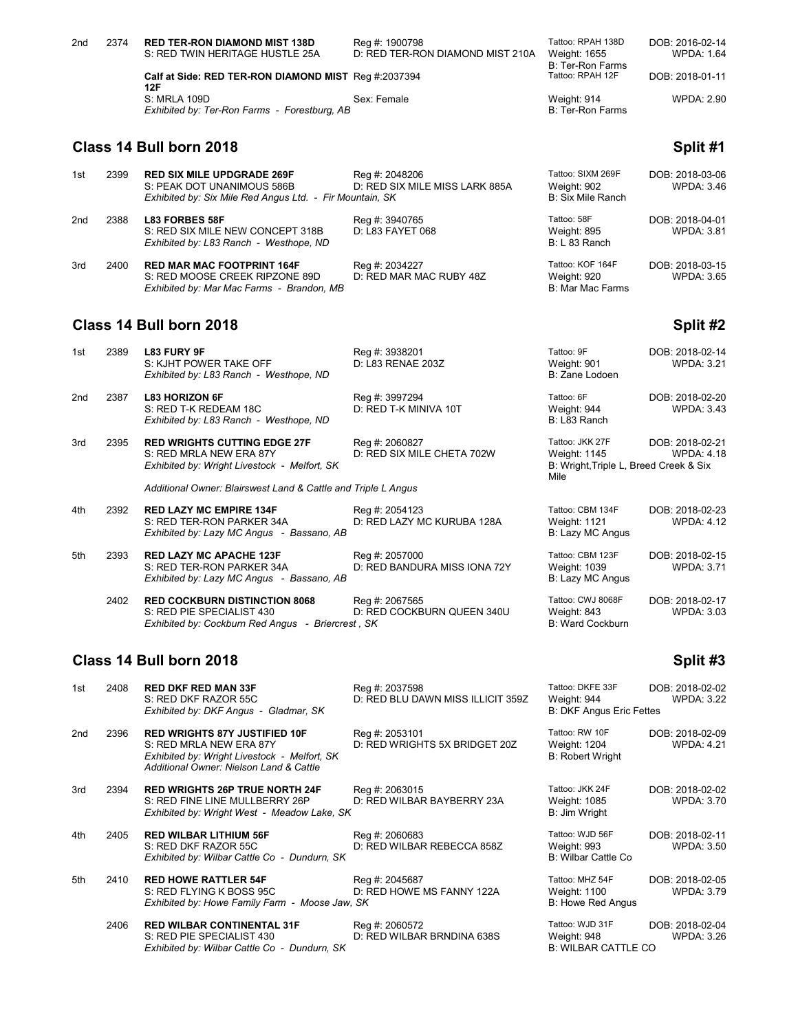| 2nd | 2374 | <b>RED TER-RON DIAMOND MIST 138D</b>                 | Reg #: 1900798                   | Tattoo: RPAH 138D | DOB: 2016-02-14   |
|-----|------|------------------------------------------------------|----------------------------------|-------------------|-------------------|
|     |      | S: RED TWIN HERITAGE HUSTLE 25A                      | D: RED TER-RON DIAMOND MIST 210A | Weight: 1655      | WPDA: 1.64        |
|     |      |                                                      |                                  | B: Ter-Ron Farms  |                   |
|     |      | Calf at Side: RED TER-RON DIAMOND MIST Req #:2037394 |                                  | Tattoo: RPAH 12F  | DOB: 2018-01-11   |
|     |      | 12F                                                  |                                  |                   |                   |
|     |      | S: MRLA 109D                                         | Sex: Female                      | Weight: 914       | <b>WPDA: 2.90</b> |
|     |      | Exhibited by: Ter-Ron Farms - Forestburg, AB         |                                  | B: Ter-Ron Farms  |                   |

# **Class 14 Bull born 2018 Split #1**

| 1st | 2399 | <b>RED SIX MILE UPDGRADE 269F</b><br>S: PEAK DOT UNANIMOUS 586B<br>Exhibited by: Six Mile Red Angus Ltd. - Fir Mountain, SK | Reg #: 2048206<br>D: RED SIX MILE MISS LARK 885A | Tattoo: SIXM 269F<br>Weight: 902<br>B: Six Mile Ranch | DOB: 2018-03-06<br><b>WPDA: 3.46</b> |
|-----|------|-----------------------------------------------------------------------------------------------------------------------------|--------------------------------------------------|-------------------------------------------------------|--------------------------------------|
| 2nd | 2388 | <b>L83 FORBES 58F</b><br>S: RED SIX MILE NEW CONCEPT 318B<br>Exhibited by: L83 Ranch - Westhope, ND                         | Reg #: 3940765<br>D: L83 FAYET 068               | Tattoo: 58F<br>Weight: 895<br>B: L 83 Ranch           | DOB: 2018-04-01<br><b>WPDA: 3.81</b> |
| 3rd | 2400 | <b>RED MAR MAC FOOTPRINT 164F</b><br>S: RED MOOSE CREEK RIPZONE 89D<br>Exhibited by: Mar Mac Farms - Brandon, MB            | Reg #: 2034227<br>D: RED MAR MAC RUBY 48Z        | Tattoo: KOF 164F<br>Weight: 920<br>B: Mar Mac Farms   | DOB: 2018-03-15<br><b>WPDA: 3.65</b> |

## **Class 14 Bull born 2018 Split #2**

| 1st | 2389 | L83 FURY 9F<br>S: KJHT POWER TAKE OFF<br>Exhibited by: L83 Ranch - Westhope, ND                                | Reg #: 3938201<br>D: L83 RENAE 203Z            | Tattoo: 9F<br>Weight: 901<br>B: Zane Lodoen                                       | DOB: 2018-02-14<br><b>WPDA: 3.21</b> |
|-----|------|----------------------------------------------------------------------------------------------------------------|------------------------------------------------|-----------------------------------------------------------------------------------|--------------------------------------|
| 2nd | 2387 | <b>L83 HORIZON 6F</b><br>S: RED T-K REDEAM 18C<br>Exhibited by: L83 Ranch - Westhope, ND                       | Reg #: 3997294<br>D: RED T-K MINIVA 10T        | Tattoo: 6F<br>Weight: 944<br>B: L83 Ranch                                         | DOB: 2018-02-20<br><b>WPDA: 3.43</b> |
| 3rd | 2395 | <b>RED WRIGHTS CUTTING EDGE 27F</b><br>S: RED MRLA NEW ERA 87Y<br>Exhibited by: Wright Livestock - Melfort, SK | Reg #: 2060827<br>D: RED SIX MILE CHETA 702W   | Tattoo: JKK 27F<br>Weight: 1145<br>B: Wright, Triple L, Breed Creek & Six<br>Mile | DOB: 2018-02-21<br><b>WPDA: 4.18</b> |
|     |      | Additional Owner: Blairswest Land & Cattle and Triple L Angus                                                  |                                                |                                                                                   |                                      |
| 4th | 2392 | <b>RED LAZY MC EMPIRE 134F</b><br>S: RED TER-RON PARKER 34A<br>Exhibited by: Lazy MC Angus - Bassano, AB       | Reg #: 2054123<br>D: RED LAZY MC KURUBA 128A   | Tattoo: CBM 134F<br><b>Weight: 1121</b><br>B: Lazy MC Angus                       | DOB: 2018-02-23<br><b>WPDA: 4.12</b> |
| 5th | 2393 | <b>RED LAZY MC APACHE 123F</b><br>S: RED TER-RON PARKER 34A<br>Exhibited by: Lazy MC Angus - Bassano, AB       | Reg #: 2057000<br>D: RED BANDURA MISS IONA 72Y | Tattoo: CBM 123F<br>Weight: 1039<br>B: Lazy MC Angus                              | DOB: 2018-02-15<br>WPDA: 3.71        |
|     | 2402 | <b>RED COCKBURN DISTINCTION 8068</b>                                                                           | Reg #: 2067565                                 | Tattoo: CWJ 8068F                                                                 | DOB: 2018-02-17                      |

S: RED PIE SPECIALIST 430 D: RED COCKBURN QUEEN 340U Weight: 843 WPDA: 3.03

## **Class 14 Bull born 2018 Split #3**

| 1st | 2408 | <b>RED DKF RED MAN 33F</b><br>S: RED DKF RAZOR 55C<br>Exhibited by: DKF Angus - Gladmar, SK                                                                | Reg #: 2037598<br>D: RED BLU DAWN MISS ILLICIT 359Z | Tattoo: DKFE 33F<br>Weight: 944<br><b>B: DKF Angus Eric Fettes</b> | DOB: 2018-02-02<br><b>WPDA: 3.22</b> |
|-----|------|------------------------------------------------------------------------------------------------------------------------------------------------------------|-----------------------------------------------------|--------------------------------------------------------------------|--------------------------------------|
| 2nd | 2396 | <b>RED WRIGHTS 87Y JUSTIFIED 10F</b><br>S: RED MRLA NEW ERA 87Y<br>Exhibited by: Wright Livestock - Melfort, SK<br>Additional Owner: Nielson Land & Cattle | Reg #: 2053101<br>D: RED WRIGHTS 5X BRIDGET 20Z     | Tattoo: RW 10F<br>Weight: 1204<br><b>B: Robert Wright</b>          | DOB: 2018-02-09<br><b>WPDA: 4.21</b> |
| 3rd | 2394 | <b>RED WRIGHTS 26P TRUE NORTH 24F</b><br>S: RED FINE LINE MULLBERRY 26P<br>Exhibited by: Wright West - Meadow Lake, SK                                     | Reg #: 2063015<br>D: RED WILBAR BAYBERRY 23A        | Tattoo: JKK 24F<br><b>Weight: 1085</b><br>B: Jim Wright            | DOB: 2018-02-02<br><b>WPDA: 3.70</b> |
| 4th | 2405 | <b>RED WILBAR LITHIUM 56F</b><br>S: RED DKF RAZOR 55C<br>Exhibited by: Wilbar Cattle Co - Dundurn, SK                                                      | Reg #: 2060683<br>D: RED WILBAR REBECCA 858Z        | Tattoo: WJD 56F<br>Weight: 993<br>B: Wilbar Cattle Co.             | DOB: 2018-02-11<br><b>WPDA: 3.50</b> |
| 5th | 2410 | <b>RED HOWE RATTLER 54F</b><br>S: RED FLYING K BOSS 95C<br>Exhibited by: Howe Family Farm - Moose Jaw, SK                                                  | Reg #: 2045687<br>D: RED HOWE MS FANNY 122A         | Tattoo: MHZ 54F<br>Weight: 1100<br>B: Howe Red Angus               | DOB: 2018-02-05<br><b>WPDA: 3.79</b> |
|     | 2406 | <b>RED WILBAR CONTINENTAL 31F</b><br>S: RED PIE SPECIALIST 430<br>Exhibited by: Wilbar Cattle Co - Dundurn, SK                                             | Reg #: 2060572<br>D: RED WILBAR BRNDINA 638S        | Tattoo: WJD 31F<br>Weight: 948<br><b>B: WILBAR CATTLE CO</b>       | DOB: 2018-02-04<br><b>WPDA: 3.26</b> |

*Exhibited by: Cockburn Red Angus - Briercrest , SK* B: Ward Cockburn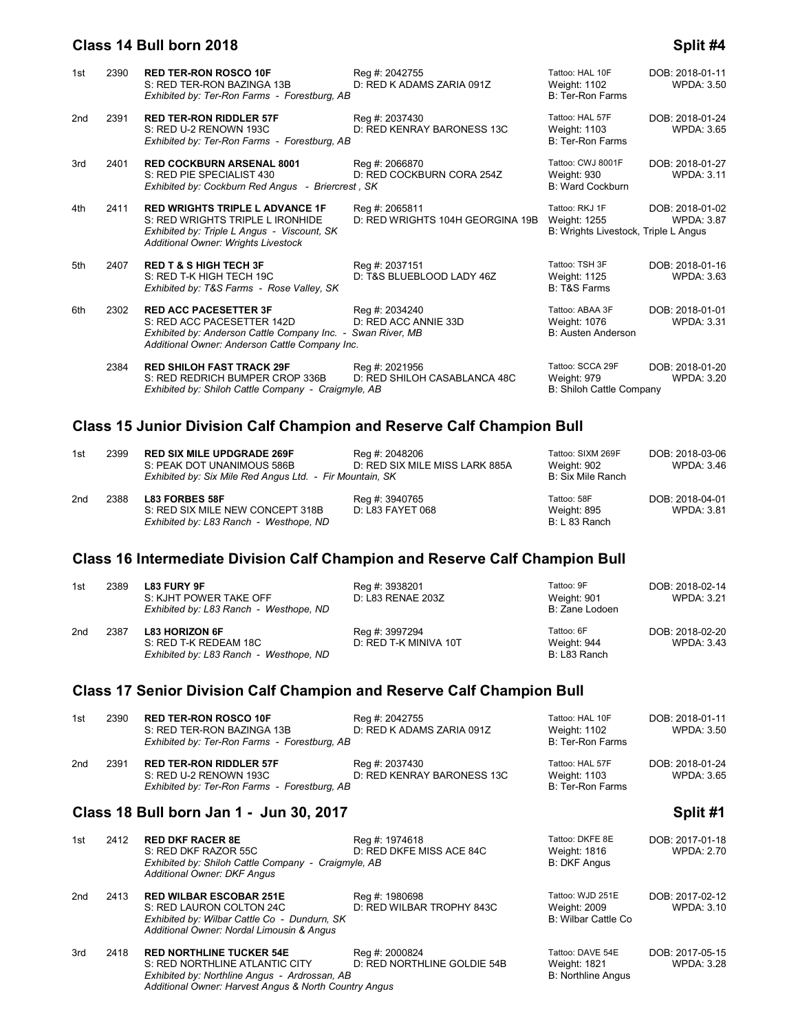## **Class 14 Bull born 2018 Split #4**

| 1st | 2390 | <b>RED TER-RON ROSCO 10F</b><br>S: RED TER-RON BAZINGA 13B<br>Exhibited by: Ter-Ron Farms - Forestburg, AB                                                                  | Reg #: 2042755<br>D: RED K ADAMS ZARIA 091Z        | Tattoo: HAL 10F<br><b>Weight: 1102</b><br><b>B: Ter-Ron Farms</b>      | DOB: 2018-01-11<br><b>WPDA: 3.50</b> |
|-----|------|-----------------------------------------------------------------------------------------------------------------------------------------------------------------------------|----------------------------------------------------|------------------------------------------------------------------------|--------------------------------------|
| 2nd | 2391 | <b>RED TER-RON RIDDLER 57F</b><br>S: RED U-2 RENOWN 193C<br>Exhibited by: Ter-Ron Farms - Forestburg, AB                                                                    | Reg #: 2037430<br>D: RED KENRAY BARONESS 13C       | Tattoo: HAL 57F<br>Weight: 1103<br><b>B: Ter-Ron Farms</b>             | DOB: 2018-01-24<br><b>WPDA: 3.65</b> |
| 3rd | 2401 | <b>RED COCKBURN ARSENAL 8001</b><br>S: RED PIE SPECIALIST 430<br>Exhibited by: Cockburn Red Angus - Briercrest, SK                                                          | Reg #: 2066870<br>D: RED COCKBURN CORA 254Z        | Tattoo: CWJ 8001F<br><b>Weight: 930</b><br>B: Ward Cockburn            | DOB: 2018-01-27<br><b>WPDA: 3.11</b> |
| 4th | 2411 | <b>RED WRIGHTS TRIPLE L ADVANCE 1F</b><br>S: RED WRIGHTS TRIPLE L IRONHIDE<br>Exhibited by: Triple L Angus - Viscount, SK<br>Additional Owner: Wrights Livestock            | Reg #: 2065811<br>D: RED WRIGHTS 104H GEORGINA 19B | Tattoo: RKJ 1F<br>Weight: 1255<br>B: Wrights Livestock, Triple L Angus | DOB: 2018-01-02<br><b>WPDA: 3.87</b> |
| 5th | 2407 | <b>RED T &amp; S HIGH TECH 3F</b><br>S: RED T-K HIGH TECH 19C<br>Exhibited by: T&S Farms - Rose Valley, SK                                                                  | Reg #: 2037151<br>D: T&S BLUEBLOOD LADY 46Z        | Tattoo: TSH 3F<br>Weight: 1125<br><b>B: T&amp;S Farms</b>              | DOB: 2018-01-16<br><b>WPDA: 3.63</b> |
| 6th | 2302 | <b>RED ACC PACESETTER 3F</b><br>S: RED ACC PACESETTER 142D<br>Exhibited by: Anderson Cattle Company Inc. - Swan River, MB<br>Additional Owner: Anderson Cattle Company Inc. | Reg #: 2034240<br>D: RED ACC ANNIE 33D             | Tattoo: ABAA 3F<br>Weight: 1076<br>B: Austen Anderson                  | DOB: 2018-01-01<br><b>WPDA: 3.31</b> |
|     | 2384 | <b>RED SHILOH FAST TRACK 29F</b><br>S: RED REDRICH BUMPER CROP 336B<br>Exhibited by: Shiloh Cattle Company - Craigmyle, AB                                                  | Reg #: 2021956<br>D: RED SHILOH CASABLANCA 48C     | Tattoo: SCCA 29F<br>Weight: 979<br>B: Shiloh Cattle Company            | DOB: 2018-01-20<br><b>WPDA: 3.20</b> |

# **Class 15 Junior Division Calf Champion and Reserve Calf Champion Bull**

| 1st             | 2399 | <b>RED SIX MILE UPDGRADE 269F</b><br>S: PEAK DOT UNANIMOUS 586B<br>Exhibited by: Six Mile Red Angus Ltd. - Fir Mountain, SK | Reg #: 2048206<br>D: RED SIX MILE MISS LARK 885A | Tattoo: SIXM 269F<br>Weight: 902<br>B: Six Mile Ranch | DOB: 2018-03-06<br>WPDA: 3.46 |
|-----------------|------|-----------------------------------------------------------------------------------------------------------------------------|--------------------------------------------------|-------------------------------------------------------|-------------------------------|
| 2 <sub>nd</sub> | 2388 | <b>L83 FORBES 58F</b><br>S: RED SIX MILE NEW CONCEPT 318B<br>Exhibited by: L83 Ranch - Westhope, ND                         | Reg #: 3940765<br>D: L83 FAYET 068               | Tattoo: 58F<br>Weight: 895<br>B: L 83 Ranch           | DOB: 2018-04-01<br>WPDA: 3.81 |

## **Class 16 Intermediate Division Calf Champion and Reserve Calf Champion Bull**

| 1st | 2389 | <b>L83 FURY 9F</b><br>S: KJHT POWER TAKE OFF<br>Exhibited by: L83 Ranch - Westhope, ND   | Reg #: 3938201<br>D: L83 RENAE 203Z     | Tattoo: 9F<br>Weight: 901<br>B: Zane Lodoen | DOB: 2018-02-14<br>WPDA: 3.21 |
|-----|------|------------------------------------------------------------------------------------------|-----------------------------------------|---------------------------------------------|-------------------------------|
| 2nd | 2387 | <b>L83 HORIZON 6F</b><br>S: RED T-K REDEAM 18C<br>Exhibited by: L83 Ranch - Westhope, ND | Reg #: 3997294<br>D: RED T-K MINIVA 10T | Tattoo: 6F<br>Weight: 944<br>B: L83 Ranch   | DOB: 2018-02-20<br>WPDA: 3.43 |

### **Class 17 Senior Division Calf Champion and Reserve Calf Champion Bull**

| 1st | 2390 | <b>RED TER-RON ROSCO 10F</b><br>S: RED TER-RON BAZINGA 13B<br>Exhibited by: Ter-Ron Farms - Forestburg, AB                                                                  | Reg #: 2042755<br>D: RED K ADAMS ZARIA 091Z   | Tattoo: HAL 10F<br><b>Weight: 1102</b><br>B: Ter-Ron Farms      | DOB: 2018-01-11<br><b>WPDA: 3.50</b> |
|-----|------|-----------------------------------------------------------------------------------------------------------------------------------------------------------------------------|-----------------------------------------------|-----------------------------------------------------------------|--------------------------------------|
| 2nd | 2391 | <b>RED TER-RON RIDDLER 57F</b><br>S: RED U-2 RENOWN 193C<br>Exhibited by: Ter-Ron Farms - Forestburg, AB                                                                    | Reg #: 2037430<br>D: RED KENRAY BARONESS 13C  | Tattoo: HAL 57F<br><b>Weight: 1103</b><br>B: Ter-Ron Farms      | DOB: 2018-01-24<br><b>WPDA: 3.65</b> |
|     |      | Class 18 Bull born Jan 1 - Jun 30, 2017                                                                                                                                     |                                               |                                                                 | Split #1                             |
| 1st | 2412 | <b>RED DKF RACER 8E</b><br>S: RED DKF RAZOR 55C<br>Exhibited by: Shiloh Cattle Company - Craigmyle, AB<br><b>Additional Owner: DKF Angus</b>                                | Reg #: 1974618<br>D: RED DKFE MISS ACE 84C    | Tattoo: DKFE 8E<br>Weight: 1816<br><b>B: DKF Angus</b>          | DOB: 2017-01-18<br><b>WPDA: 2.70</b> |
| 2nd | 2413 | <b>RED WILBAR ESCOBAR 251E</b><br>S: RED LAURON COLTON 24C<br>Exhibited by: Wilbar Cattle Co - Dundurn, SK<br>Additional Owner: Nordal Limousin & Angus                     | Reg #: 1980698<br>D: RED WILBAR TROPHY 843C   | Tattoo: WJD 251E<br><b>Weight: 2009</b><br>B: Wilbar Cattle Co. | DOB: 2017-02-12<br><b>WPDA: 3.10</b> |
| 3rd | 2418 | <b>RED NORTHLINE TUCKER 54E</b><br>S: RED NORTHLINE ATLANTIC CITY<br>Exhibited by: Northline Angus - Ardrossan, AB<br>Additional Owner: Harvest Angus & North Country Angus | Reg #: 2000824<br>D: RED NORTHLINE GOLDIE 54B | Tattoo: DAVE 54E<br>Weight: 1821<br><b>B: Northline Angus</b>   | DOB: 2017-05-15<br><b>WPDA: 3.28</b> |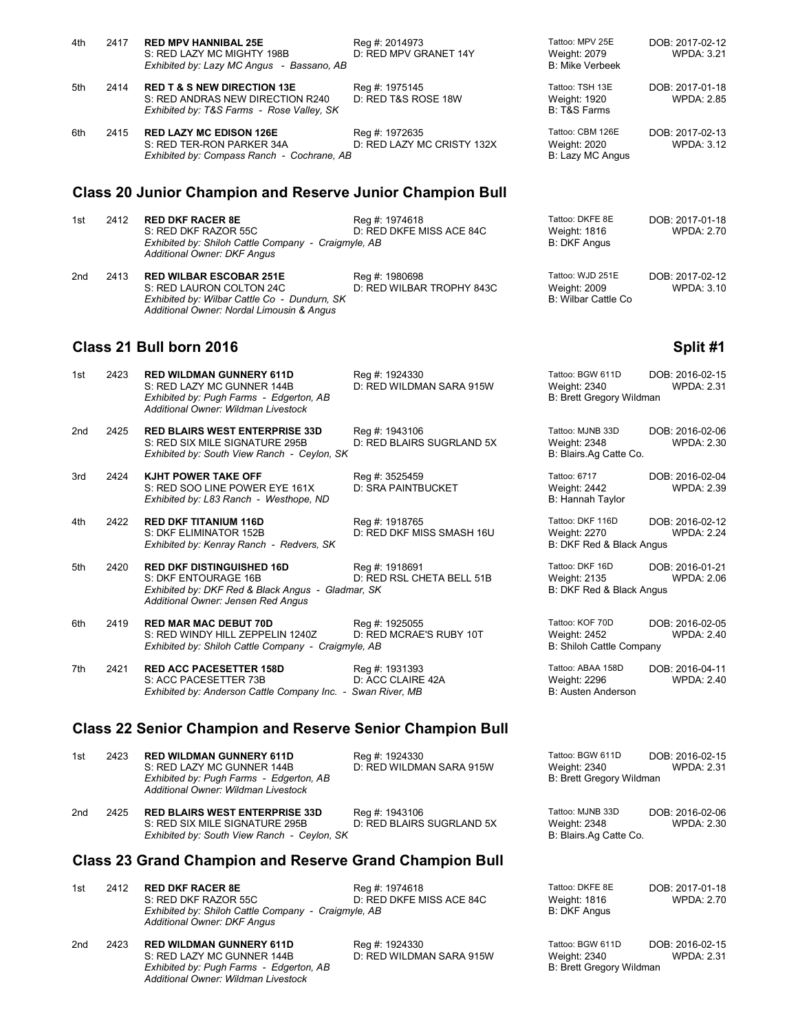| 4th | 2417 | <b>RED MPV HANNIBAL 25E</b><br>S: RED LAZY MC MIGHTY 198B<br>Exhibited by: Lazy MC Angus - Bassano, AB                                                  | Reg #: 2014973<br>D: RED MPV GRANET 14Y      | Tattoo: MPV 25E<br>Weight: 2079<br><b>B: Mike Verbeek</b>           | DOB: 2017-02-12<br><b>WPDA: 3.21</b> |
|-----|------|---------------------------------------------------------------------------------------------------------------------------------------------------------|----------------------------------------------|---------------------------------------------------------------------|--------------------------------------|
| 5th | 2414 | <b>RED T &amp; S NEW DIRECTION 13E</b><br>S: RED ANDRAS NEW DIRECTION R240<br>Exhibited by: T&S Farms - Rose Valley, SK                                 | Reg #: 1975145<br>D: RED T&S ROSE 18W        | Tattoo: TSH 13E<br>Weight: 1920<br><b>B: T&amp;S Farms</b>          | DOB: 2017-01-18<br><b>WPDA: 2.85</b> |
| 6th | 2415 | <b>RED LAZY MC EDISON 126E</b><br>S: RED TER-RON PARKER 34A<br>Exhibited by: Compass Ranch - Cochrane, AB                                               | Reg #: 1972635<br>D: RED LAZY MC CRISTY 132X | Tattoo: CBM 126E<br>Weight: 2020<br>B: Lazy MC Angus                | DOB: 2017-02-13<br><b>WPDA: 3.12</b> |
|     |      | <b>Class 20 Junior Champion and Reserve Junior Champion Bull</b>                                                                                        |                                              |                                                                     |                                      |
| 1st | 2412 | <b>RED DKF RACER 8E</b><br>S: RED DKF RAZOR 55C<br>Exhibited by: Shiloh Cattle Company - Craigmyle, AB<br>Additional Owner: DKF Angus                   | Reg #: 1974618<br>D: RED DKFE MISS ACE 84C   | Tattoo: DKFE 8E<br><b>Weight: 1816</b><br><b>B: DKF Angus</b>       | DOB: 2017-01-18<br><b>WPDA: 2.70</b> |
| 2nd | 2413 | <b>RED WILBAR ESCOBAR 251E</b><br>S: RED LAURON COLTON 24C<br>Exhibited by: Wilbar Cattle Co - Dundurn, SK<br>Additional Owner: Nordal Limousin & Angus | Reg #: 1980698<br>D: RED WILBAR TROPHY 843C  | Tattoo: WJD 251E<br>Weight: 2009<br><b>B: Wilbar Cattle Co</b>      | DOB: 2017-02-12<br><b>WPDA: 3.10</b> |
|     |      | Class 21 Bull born 2016                                                                                                                                 |                                              |                                                                     | Split #1                             |
| 1st | 2423 | <b>RED WILDMAN GUNNERY 611D</b><br>S: RED LAZY MC GUNNER 144B<br>Exhibited by: Pugh Farms - Edgerton, AB<br>Additional Owner: Wildman Livestock         | Reg #: 1924330<br>D: RED WILDMAN SARA 915W   | Tattoo: BGW 611D<br>Weight: 2340<br><b>B: Brett Gregory Wildman</b> | DOB: 2016-02-15<br><b>WPDA: 2.31</b> |
| 2nd | 2425 | <b>RED BLAIRS WEST ENTERPRISE 33D</b><br>S: RED SIX MILE SIGNATURE 295B<br>Exhibited by: South View Ranch - Ceylon, SK                                  | Reg #: 1943106<br>D: RED BLAIRS SUGRLAND 5X  | Tattoo: MJNB 33D<br>Weight: 2348<br>B: Blairs.Ag Catte Co.          | DOB: 2016-02-06<br><b>WPDA: 2.30</b> |
| 3rd | 2424 | KJHT POWER TAKE OFF<br>S: RED SOO LINE POWER EYE 161X<br>Exhibited by: L83 Ranch - Westhope, ND                                                         | Reg #: 3525459<br><b>D: SRA PAINTBUCKET</b>  | Tattoo: 6717<br>Weight: 2442<br>B: Hannah Taylor                    | DOB: 2016-02-04<br><b>WPDA: 2.39</b> |
| 4th | 2422 | <b>RED DKF TITANIUM 116D</b><br>S: DKF ELIMINATOR 152B<br>Exhibited by: Kenray Ranch - Redvers, SK                                                      | Reg #: 1918765<br>D: RED DKF MISS SMASH 16U  | Tattoo: DKF 116D<br><b>Weight: 2270</b><br>B: DKF Red & Black Angus | DOB: 2016-02-12<br><b>WPDA: 2.24</b> |
| 5th | 2420 | <b>RED DKF DISTINGUISHED 16D</b><br>S: DKF ENTOURAGE 16B<br>Exhibited by: DKF Red & Black Angus - Gladmar, SK<br>Additional Owner: Jensen Red Angus     | Reg #: 1918691<br>D: RED RSL CHETA BELL 51B  | Tattoo: DKF 16D<br>Weight: 2135<br>B: DKF Red & Black Angus         | DOB: 2016-01-21<br><b>WPDA: 2.06</b> |
| 6th | 2419 | <b>RED MAR MAC DEBUT 70D</b><br>S: RED WINDY HILL ZEPPELIN 1240Z<br>Exhibited by: Shiloh Cattle Company - Craigmyle, AB                                 | Reg #: 1925055<br>D: RED MCRAE'S RUBY 10T    | Tattoo: KOF 70D<br>Weight: 2452<br><b>B: Shiloh Cattle Company</b>  | DOB: 2016-02-05<br><b>WPDA: 2.40</b> |

7th 2421 **RED ACC PACESETTER 158D** Reg #: 1931393 Tattoo: ABAA 158D DOB: 2016-04-11<br>S: ACC PACESETTER 73B D: ACC CLAIRE 42A Weight: 2296 WPDA: 2.40 S: ACC PACESETTER 73B D: ACC CLAIRE 42A Weight: 2296<br>
Exhibited by: Anderson Cattle Company Inc. - Swan River. MB B: 2006 B: Austen Anderson *Exhibited by: Anderson Cattle Company Inc. - Swan River, MB* 

#### **Class 22 Senior Champion and Reserve Senior Champion Bull**

| 1st             | 2423 | <b>RED WILDMAN GUNNERY 611D</b><br>S: RED LAZY MC GUNNER 144B<br>Exhibited by: Pugh Farms - Edgerton, AB<br>Additional Owner: Wildman Livestock | Reg #: 1924330<br>D: RED WILDMAN SARA 915W  | Tattoo: BGW 611D<br>Weight: 2340<br>B: Brett Gregory Wildman | DOB: 2016-02-15<br><b>WPDA: 2.31</b> |
|-----------------|------|-------------------------------------------------------------------------------------------------------------------------------------------------|---------------------------------------------|--------------------------------------------------------------|--------------------------------------|
| 2 <sub>nd</sub> | 2425 | <b>RED BLAIRS WEST ENTERPRISE 33D</b><br>S: RED SIX MILE SIGNATURE 295B<br>Exhibited by: South View Ranch - Ceylon, SK                          | Reg #: 1943106<br>D: RED BLAIRS SUGRLAND 5X | Tattoo: MJNB 33D<br>Weight: 2348<br>B: Blairs.Ag Catte Co.   | DOB: 2016-02-06<br>WPDA: 2.30        |

#### **Class 23 Grand Champion and Reserve Grand Champion Bull**

| 1st | 2412 | <b>RED DKF RACER 8E</b><br>S: RED DKF RAZOR 55C<br>Exhibited by: Shiloh Cattle Company - Craigmyle, AB<br>Additional Owner: DKF Angus | Reg #: 1974618<br>D: RED DKFE MISS ACE 84C | Tattoo: DKFE 8E<br>Weight: 1816<br>B: DKF Angus | DOB: 2017-01-18<br><b>WPDA: 2.70</b> |
|-----|------|---------------------------------------------------------------------------------------------------------------------------------------|--------------------------------------------|-------------------------------------------------|--------------------------------------|
| 2nd | 2423 | <b>RED WILDMAN GUNNERY 611D</b>                                                                                                       | Reg #: 1924330                             | Tattoo: BGW 611D                                | DOB: 2016-02-15                      |

S: RED LAZY MC GUNNER 144B<br>
Exhibited by: Pugh Farms - Edgerton, AB<br>
Exhibited by: Pugh Farms - Edgerton, AB<br>
B: Brett Gregory Wildman *Exhibited by: Pugh Farms - Edgerton, AB Additional Owner: Wildman Livestock*